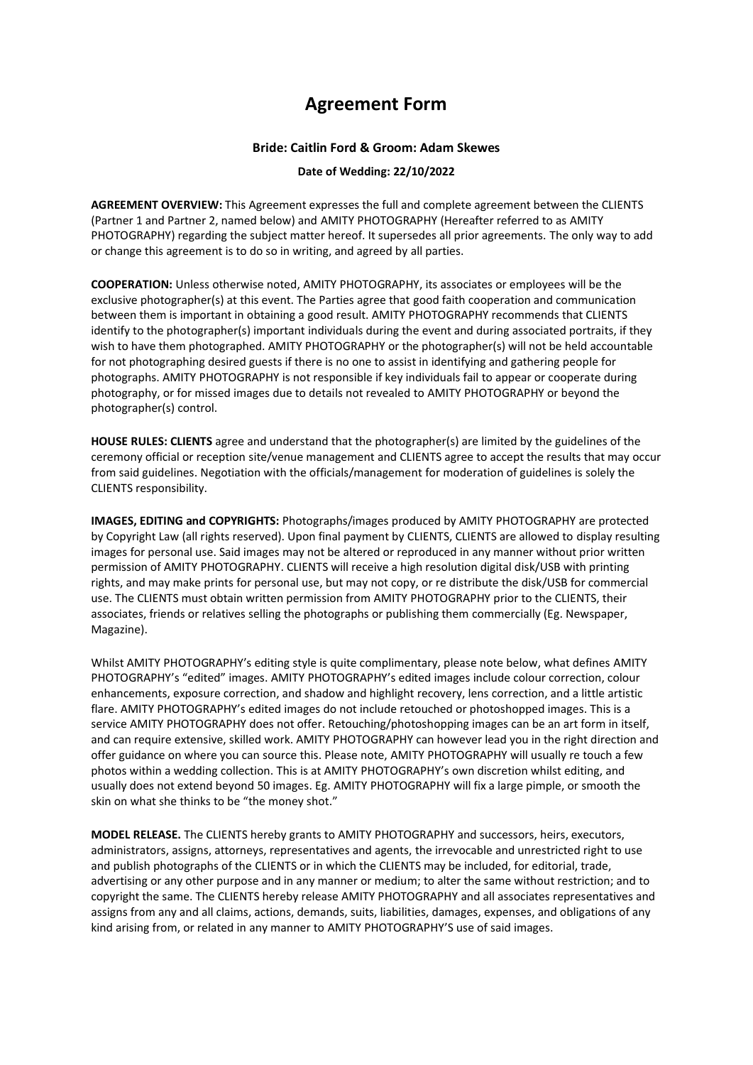## **Agreement Form**

## **Bride: Caitlin Ford & Groom: Adam Skewes**

## **Date of Wedding: 22/10/2022**

**AGREEMENT OVERVIEW:** This Agreement expresses the full and complete agreement between the CLIENTS (Partner 1 and Partner 2, named below) and AMITY PHOTOGRAPHY (Hereafter referred to as AMITY PHOTOGRAPHY) regarding the subject matter hereof. It supersedes all prior agreements. The only way to add or change this agreement is to do so in writing, and agreed by all parties.

**COOPERATION:** Unless otherwise noted, AMITY PHOTOGRAPHY, its associates or employees will be the exclusive photographer(s) at this event. The Parties agree that good faith cooperation and communication between them is important in obtaining a good result. AMITY PHOTOGRAPHY recommends that CLIENTS identify to the photographer(s) important individuals during the event and during associated portraits, if they wish to have them photographed. AMITY PHOTOGRAPHY or the photographer(s) will not be held accountable for not photographing desired guests if there is no one to assist in identifying and gathering people for photographs. AMITY PHOTOGRAPHY is not responsible if key individuals fail to appear or cooperate during photography, or for missed images due to details not revealed to AMITY PHOTOGRAPHY or beyond the photographer(s) control.

**HOUSE RULES: CLIENTS** agree and understand that the photographer(s) are limited by the guidelines of the ceremony official or reception site/venue management and CLIENTS agree to accept the results that may occur from said guidelines. Negotiation with the officials/management for moderation of guidelines is solely the CLIENTS responsibility.

**IMAGES, EDITING and COPYRIGHTS:** Photographs/images produced by AMITY PHOTOGRAPHY are protected by Copyright Law (all rights reserved). Upon final payment by CLIENTS, CLIENTS are allowed to display resulting images for personal use. Said images may not be altered or reproduced in any manner without prior written permission of AMITY PHOTOGRAPHY. CLIENTS will receive a high resolution digital disk/USB with printing rights, and may make prints for personal use, but may not copy, or re distribute the disk/USB for commercial use. The CLIENTS must obtain written permission from AMITY PHOTOGRAPHY prior to the CLIENTS, their associates, friends or relatives selling the photographs or publishing them commercially (Eg. Newspaper, Magazine).

Whilst AMITY PHOTOGRAPHY's editing style is quite complimentary, please note below, what defines AMITY PHOTOGRAPHY's "edited" images. AMITY PHOTOGRAPHY's edited images include colour correction, colour enhancements, exposure correction, and shadow and highlight recovery, lens correction, and a little artistic flare. AMITY PHOTOGRAPHY's edited images do not include retouched or photoshopped images. This is a service AMITY PHOTOGRAPHY does not offer. Retouching/photoshopping images can be an art form in itself, and can require extensive, skilled work. AMITY PHOTOGRAPHY can however lead you in the right direction and offer guidance on where you can source this. Please note, AMITY PHOTOGRAPHY will usually re touch a few photos within a wedding collection. This is at AMITY PHOTOGRAPHY's own discretion whilst editing, and usually does not extend beyond 50 images. Eg. AMITY PHOTOGRAPHY will fix a large pimple, or smooth the skin on what she thinks to be "the money shot."

**MODEL RELEASE.** The CLIENTS hereby grants to AMITY PHOTOGRAPHY and successors, heirs, executors, administrators, assigns, attorneys, representatives and agents, the irrevocable and unrestricted right to use and publish photographs of the CLIENTS or in which the CLIENTS may be included, for editorial, trade, advertising or any other purpose and in any manner or medium; to alter the same without restriction; and to copyright the same. The CLIENTS hereby release AMITY PHOTOGRAPHY and all associates representatives and assigns from any and all claims, actions, demands, suits, liabilities, damages, expenses, and obligations of any kind arising from, or related in any manner to AMITY PHOTOGRAPHY'S use of said images.